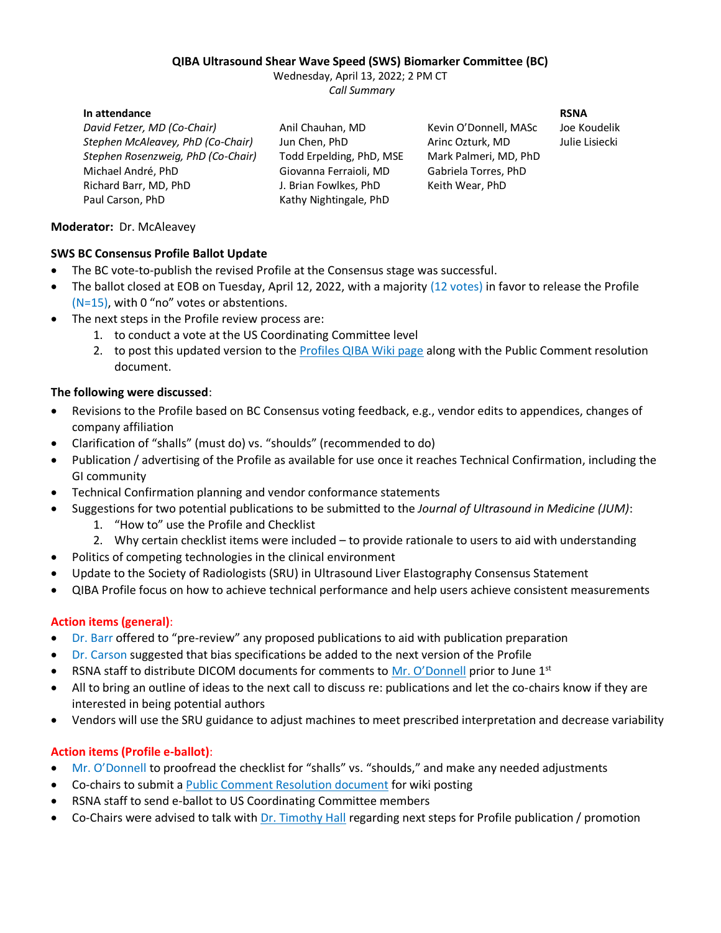#### **QIBA Ultrasound Shear Wave Speed (SWS) Biomarker Committee (BC)**

Wednesday, April 13, 2022; 2 PM CT *Call Summary*

#### **In attendance RSNA**

*David Fetzer, MD (Co-Chair)* Anil Chauhan, MD Kevin O'Donnell, MASc Joe Koudelik *Stephen McAleavey, PhD (Co-Chair)* Jun Chen, PhD Arinc Ozturk, MD Julie Lisiecki *Stephen Rosenzweig, PhD (Co-Chair)* Todd Erpelding, PhD, MSE Mark Palmeri, MD, PhD Michael André, PhD Giovanna Ferraioli, MD Gabriela Torres, PhD Richard Barr, MD, PhD J. Brian Fowlkes, PhD Keith Wear, PhD Paul Carson, PhD Kathy Nightingale, PhD

## **Moderator:** Dr. McAleavey

### **SWS BC Consensus Profile Ballot Update**

- The BC vote-to-publish the revised Profile at the Consensus stage was successful.
- The ballot closed at EOB on Tuesday, April 12, 2022, with a majority (12 votes) in favor to release the Profile (N=15), with 0 "no" votes or abstentions.
- The next steps in the Profile review process are:
	- 1. to conduct a vote at the US Coordinating Committee level
	- 2. to post this updated version to the [Profiles QIBA Wiki page](https://qibawiki.rsna.org/index.php/Profiles) along with the Public Comment resolution document.

### **The following were discussed**:

- Revisions to the Profile based on BC Consensus voting feedback, e.g., vendor edits to appendices, changes of company affiliation
- Clarification of "shalls" (must do) vs. "shoulds" (recommended to do)
- Publication / advertising of the Profile as available for use once it reaches Technical Confirmation, including the GI community
- Technical Confirmation planning and vendor conformance statements
- Suggestions for two potential publications to be submitted to the *Journal of Ultrasound in Medicine (JUM)*:
	- 1. "How to" use the Profile and Checklist
	- 2. Why certain checklist items were included to provide rationale to users to aid with understanding
- Politics of competing technologies in the clinical environment
- Update to the Society of Radiologists (SRU) in Ultrasound Liver Elastography Consensus Statement
- QIBA Profile focus on how to achieve technical performance and help users achieve consistent measurements

# **Action items (general)**:

- Dr. Barr offered to "pre-review" any proposed publications to aid with publication preparation
- Dr. Carson suggested that bias specifications be added to the next version of the Profile
- RSNA staff to distribute DICOM documents for comments to [Mr. O'Donnell](mailto:KOdonnell@MRU.MEDICAL.CANON) prior to June  $1<sup>st</sup>$
- All to bring an outline of ideas to the next call to discuss re: publications and let the co-chairs know if they are interested in being potential authors
- Vendors will use the SRU guidance to adjust machines to meet prescribed interpretation and decrease variability

# **Action items (Profile e-ballot)**:

- Mr. O'Donnell to proofread the checklist for "shalls" vs. "shoulds," and make any needed adjustments
- Co-chairs to submit a [Public Comment Resolution document](http://qibawiki.rsna.org/index.php/Comment_Resolutions) for wiki posting
- RSNA staff to send e-ballot to US Coordinating Committee members
- Co-Chairs were advised to talk with [Dr. Timothy Hall](mailto:tjhall@wisc.edu) regarding next steps for Profile publication / promotion